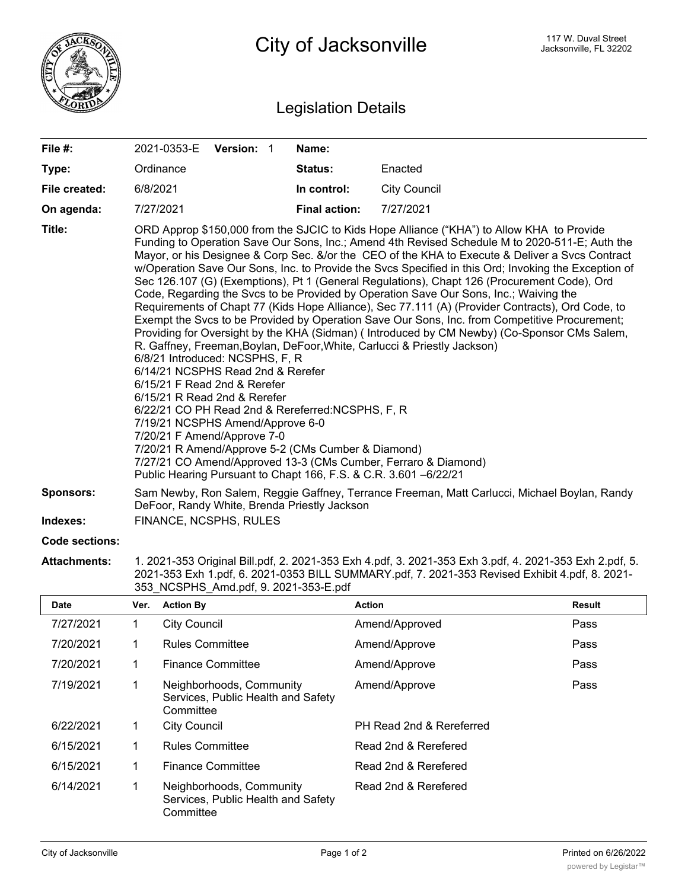

## Legislation Details

| File #:          | 2021-0353-E Version: 1                                                                                                                                                                                                                                                                                                                                                                                                                                                                                                                                                                                                                                                                                                                                                                                                                                                                                                                                                                                                                                                                                                                                                                                                                                                                                                                                                  |  |  | Name:                |                     |  |  |
|------------------|-------------------------------------------------------------------------------------------------------------------------------------------------------------------------------------------------------------------------------------------------------------------------------------------------------------------------------------------------------------------------------------------------------------------------------------------------------------------------------------------------------------------------------------------------------------------------------------------------------------------------------------------------------------------------------------------------------------------------------------------------------------------------------------------------------------------------------------------------------------------------------------------------------------------------------------------------------------------------------------------------------------------------------------------------------------------------------------------------------------------------------------------------------------------------------------------------------------------------------------------------------------------------------------------------------------------------------------------------------------------------|--|--|----------------------|---------------------|--|--|
| Type:            | Ordinance                                                                                                                                                                                                                                                                                                                                                                                                                                                                                                                                                                                                                                                                                                                                                                                                                                                                                                                                                                                                                                                                                                                                                                                                                                                                                                                                                               |  |  | Status:              | Enacted             |  |  |
| File created:    | 6/8/2021                                                                                                                                                                                                                                                                                                                                                                                                                                                                                                                                                                                                                                                                                                                                                                                                                                                                                                                                                                                                                                                                                                                                                                                                                                                                                                                                                                |  |  | In control:          | <b>City Council</b> |  |  |
| On agenda:       | 7/27/2021                                                                                                                                                                                                                                                                                                                                                                                                                                                                                                                                                                                                                                                                                                                                                                                                                                                                                                                                                                                                                                                                                                                                                                                                                                                                                                                                                               |  |  | <b>Final action:</b> | 7/27/2021           |  |  |
| Title:           | ORD Approp \$150,000 from the SJCIC to Kids Hope Alliance ("KHA") to Allow KHA to Provide<br>Funding to Operation Save Our Sons, Inc.; Amend 4th Revised Schedule M to 2020-511-E; Auth the<br>Mayor, or his Designee & Corp Sec. &/or the CEO of the KHA to Execute & Deliver a Svcs Contract<br>w/Operation Save Our Sons, Inc. to Provide the Svcs Specified in this Ord; Invoking the Exception of<br>Sec 126.107 (G) (Exemptions), Pt 1 (General Regulations), Chapt 126 (Procurement Code), Ord<br>Code, Regarding the Svcs to be Provided by Operation Save Our Sons, Inc.; Waiving the<br>Requirements of Chapt 77 (Kids Hope Alliance), Sec 77.111 (A) (Provider Contracts), Ord Code, to<br>Exempt the Svcs to be Provided by Operation Save Our Sons, Inc. from Competitive Procurement;<br>Providing for Oversight by the KHA (Sidman) (Introduced by CM Newby) (Co-Sponsor CMs Salem,<br>R. Gaffney, Freeman, Boylan, DeFoor, White, Carlucci & Priestly Jackson)<br>6/8/21 Introduced: NCSPHS, F, R<br>6/14/21 NCSPHS Read 2nd & Rerefer<br>6/15/21 F Read 2nd & Rerefer<br>$6/15/21$ R Read 2nd & Rerefer<br>6/22/21 CO PH Read 2nd & Rereferred:NCSPHS, F, R<br>7/19/21 NCSPHS Amend/Approve 6-0<br>7/20/21 F Amend/Approve 7-0<br>7/20/21 R Amend/Approve 5-2 (CMs Cumber & Diamond)<br>7/27/21 CO Amend/Approved 13-3 (CMs Cumber, Ferraro & Diamond) |  |  |                      |                     |  |  |
| <b>Sponsors:</b> | Sam Newby, Ron Salem, Reggie Gaffney, Terrance Freeman, Matt Carlucci, Michael Boylan, Randy<br>DeFoor, Randy White, Brenda Priestly Jackson                                                                                                                                                                                                                                                                                                                                                                                                                                                                                                                                                                                                                                                                                                                                                                                                                                                                                                                                                                                                                                                                                                                                                                                                                            |  |  |                      |                     |  |  |
| Indexes:         | FINANCE, NCSPHS, RULES                                                                                                                                                                                                                                                                                                                                                                                                                                                                                                                                                                                                                                                                                                                                                                                                                                                                                                                                                                                                                                                                                                                                                                                                                                                                                                                                                  |  |  |                      |                     |  |  |
| Code sections:   |                                                                                                                                                                                                                                                                                                                                                                                                                                                                                                                                                                                                                                                                                                                                                                                                                                                                                                                                                                                                                                                                                                                                                                                                                                                                                                                                                                         |  |  |                      |                     |  |  |

**Attachments:** 1. 2021-353 Original Bill.pdf, 2. 2021-353 Exh 4.pdf, 3. 2021-353 Exh 3.pdf, 4. 2021-353 Exh 2.pdf, 5. 2021-353 Exh 1.pdf, 6. 2021-0353 BILL SUMMARY.pdf, 7. 2021-353 Revised Exhibit 4.pdf, 8. 2021- 353\_NCSPHS\_Amd.pdf, 9. 2021-353-E.pdf

| <b>Date</b> | Ver. | <b>Action By</b>                                                            | <b>Action</b>            | Result |
|-------------|------|-----------------------------------------------------------------------------|--------------------------|--------|
| 7/27/2021   |      | <b>City Council</b>                                                         | Amend/Approved           | Pass   |
| 7/20/2021   |      | <b>Rules Committee</b>                                                      | Amend/Approve            | Pass   |
| 7/20/2021   |      | <b>Finance Committee</b>                                                    | Amend/Approve            | Pass   |
| 7/19/2021   |      | Neighborhoods, Community<br>Services, Public Health and Safety<br>Committee | Amend/Approve            | Pass   |
| 6/22/2021   |      | <b>City Council</b>                                                         | PH Read 2nd & Rereferred |        |
| 6/15/2021   |      | <b>Rules Committee</b>                                                      | Read 2nd & Rerefered     |        |
| 6/15/2021   | 1    | <b>Finance Committee</b>                                                    | Read 2nd & Rerefered     |        |
| 6/14/2021   |      | Neighborhoods, Community<br>Services, Public Health and Safety<br>Committee | Read 2nd & Rerefered     |        |